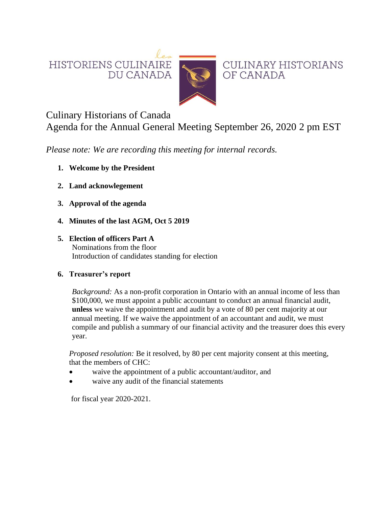HISTORIENS CULINAIRE DU CANADA



**CULINARY HISTORIANS** OF CANADA

# Culinary Historians of Canada

Agenda for the Annual General Meeting September 26, 2020 2 pm EST

*Please note: We are recording this meeting for internal records.*

- **1. Welcome by the President**
- **2. Land acknowlegement**
- **3. Approval of the agenda**
- **4. Minutes of the last AGM, Oct 5 2019**
- **5. Election of officers Part A** Nominations from the floor Introduction of candidates standing for election

# **6. Treasurer's report**

*Background:* As a non-profit corporation in Ontario with an annual income of less than \$100,000, we must appoint a public accountant to conduct an annual financial audit, **unless** we waive the appointment and audit by a vote of 80 per cent majority at our annual meeting. If we waive the appointment of an accountant and audit, we must compile and publish a summary of our financial activity and the treasurer does this every year.

*Proposed resolution:* Be it resolved, by 80 per cent majority consent at this meeting, that the members of CHC:

- waive the appointment of a public accountant/auditor, and
- waive any audit of the financial statements

for fiscal year 2020-2021.